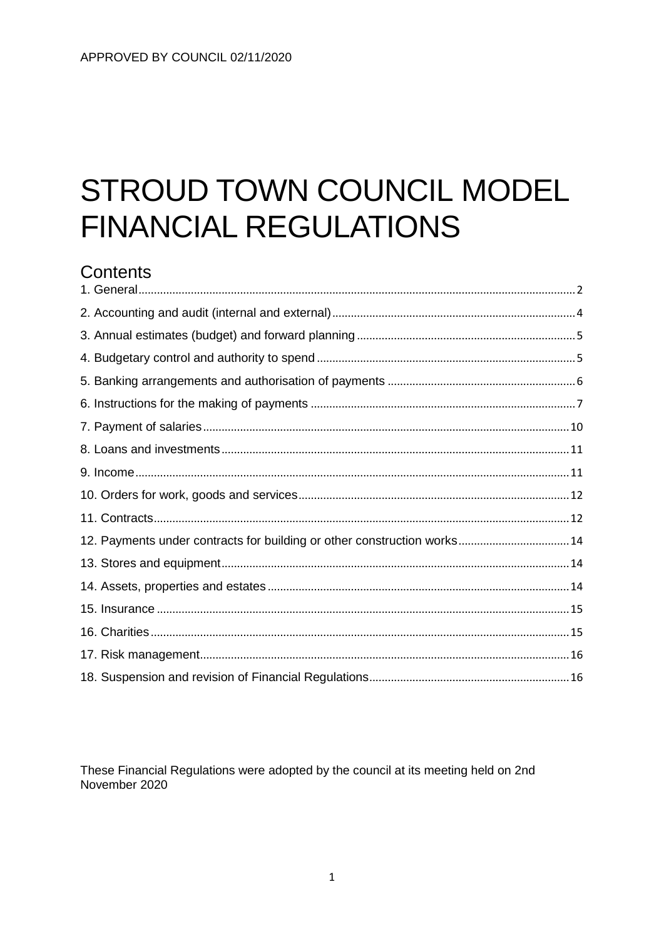# STROUD TOWN COUNCIL MODEL **FINANCIAL REGULATIONS**

# Contents

| 12. Payments under contracts for building or other construction works14 |  |
|-------------------------------------------------------------------------|--|
|                                                                         |  |
|                                                                         |  |
|                                                                         |  |
|                                                                         |  |
|                                                                         |  |
|                                                                         |  |

These Financial Regulations were adopted by the council at its meeting held on 2nd November 2020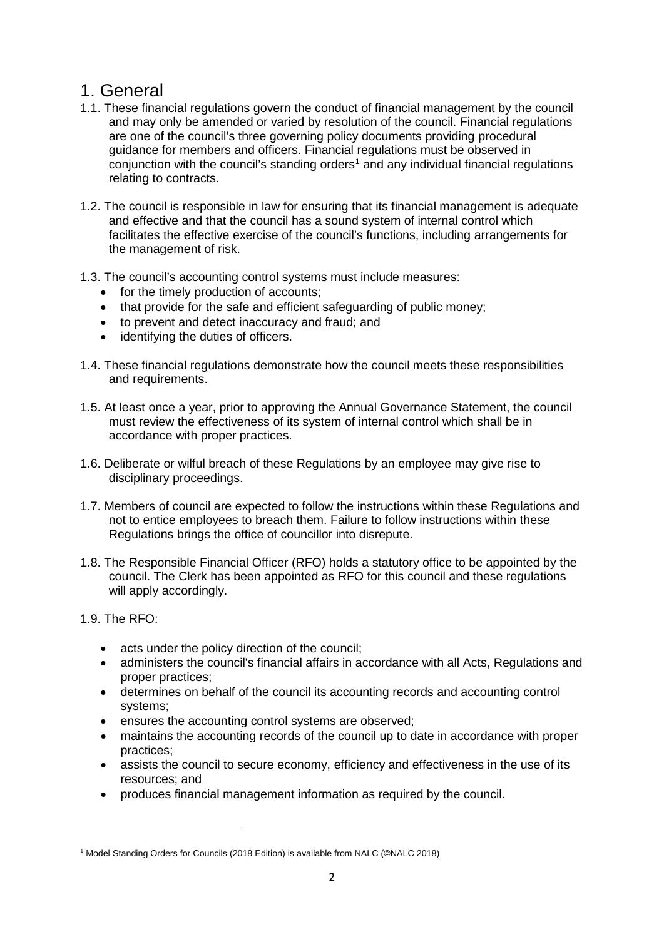# <span id="page-1-0"></span>1. General

- 1.1. These financial regulations govern the conduct of financial management by the council and may only be amended or varied by resolution of the council. Financial regulations are one of the council's three governing policy documents providing procedural guidance for members and officers. Financial regulations must be observed in  $\overline{\text{conjunction}}$  with the council's standing orders<sup>[1](#page-1-1)</sup> and any individual financial regulations relating to contracts.
- 1.2. The council is responsible in law for ensuring that its financial management is adequate and effective and that the council has a sound system of internal control which facilitates the effective exercise of the council's functions, including arrangements for the management of risk.
- 1.3. The council's accounting control systems must include measures:
	- for the timely production of accounts;
	- that provide for the safe and efficient safeguarding of public money:
	- to prevent and detect inaccuracy and fraud; and
	- identifying the duties of officers.
- 1.4. These financial regulations demonstrate how the council meets these responsibilities and requirements.
- 1.5. At least once a year, prior to approving the Annual Governance Statement, the council must review the effectiveness of its system of internal control which shall be in accordance with proper practices.
- 1.6. Deliberate or wilful breach of these Regulations by an employee may give rise to disciplinary proceedings.
- 1.7. Members of council are expected to follow the instructions within these Regulations and not to entice employees to breach them. Failure to follow instructions within these Regulations brings the office of councillor into disrepute.
- 1.8. The Responsible Financial Officer (RFO) holds a statutory office to be appointed by the council. The Clerk has been appointed as RFO for this council and these regulations will apply accordingly.

1.9. The RFO:

 $\overline{a}$ 

- acts under the policy direction of the council;
- administers the council's financial affairs in accordance with all Acts, Regulations and proper practices;
- determines on behalf of the council its accounting records and accounting control systems;
- ensures the accounting control systems are observed;
- maintains the accounting records of the council up to date in accordance with proper practices;
- assists the council to secure economy, efficiency and effectiveness in the use of its resources; and
- produces financial management information as required by the council.

<span id="page-1-1"></span><sup>1</sup> Model Standing Orders for Councils (2018 Edition) is available from NALC (©NALC 2018)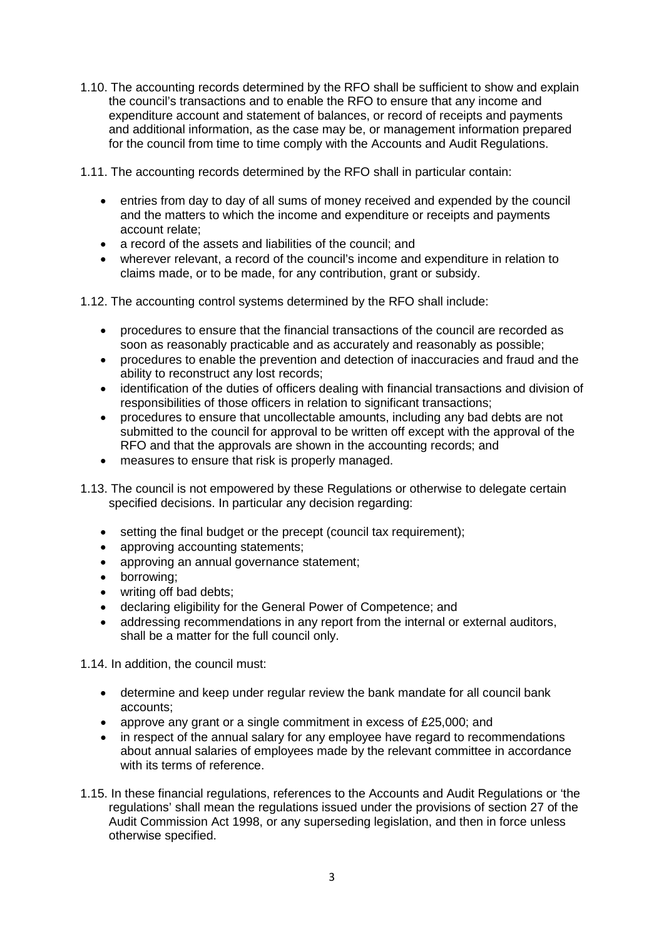1.10. The accounting records determined by the RFO shall be sufficient to show and explain the council's transactions and to enable the RFO to ensure that any income and expenditure account and statement of balances, or record of receipts and payments and additional information, as the case may be, or management information prepared for the council from time to time comply with the Accounts and Audit Regulations.

1.11. The accounting records determined by the RFO shall in particular contain:

- entries from day to day of all sums of money received and expended by the council and the matters to which the income and expenditure or receipts and payments account relate;
- a record of the assets and liabilities of the council: and
- wherever relevant, a record of the council's income and expenditure in relation to claims made, or to be made, for any contribution, grant or subsidy.

1.12. The accounting control systems determined by the RFO shall include:

- procedures to ensure that the financial transactions of the council are recorded as soon as reasonably practicable and as accurately and reasonably as possible;
- procedures to enable the prevention and detection of inaccuracies and fraud and the ability to reconstruct any lost records;
- identification of the duties of officers dealing with financial transactions and division of responsibilities of those officers in relation to significant transactions;
- procedures to ensure that uncollectable amounts, including any bad debts are not submitted to the council for approval to be written off except with the approval of the RFO and that the approvals are shown in the accounting records; and
- measures to ensure that risk is properly managed.
- 1.13. The council is not empowered by these Regulations or otherwise to delegate certain specified decisions. In particular any decision regarding:
	- setting the final budget or the precept (council tax requirement):
	- approving accounting statements:
	- approving an annual governance statement;
	- borrowing;
	- writing off bad debts;
	- declaring eligibility for the General Power of Competence; and
	- addressing recommendations in any report from the internal or external auditors, shall be a matter for the full council only.

1.14. In addition, the council must:

- determine and keep under regular review the bank mandate for all council bank accounts;
- approve any grant or a single commitment in excess of £25,000; and
- in respect of the annual salary for any employee have regard to recommendations about annual salaries of employees made by the relevant committee in accordance with its terms of reference.
- 1.15. In these financial regulations, references to the Accounts and Audit Regulations or 'the regulations' shall mean the regulations issued under the provisions of section 27 of the Audit Commission Act 1998, or any superseding legislation, and then in force unless otherwise specified.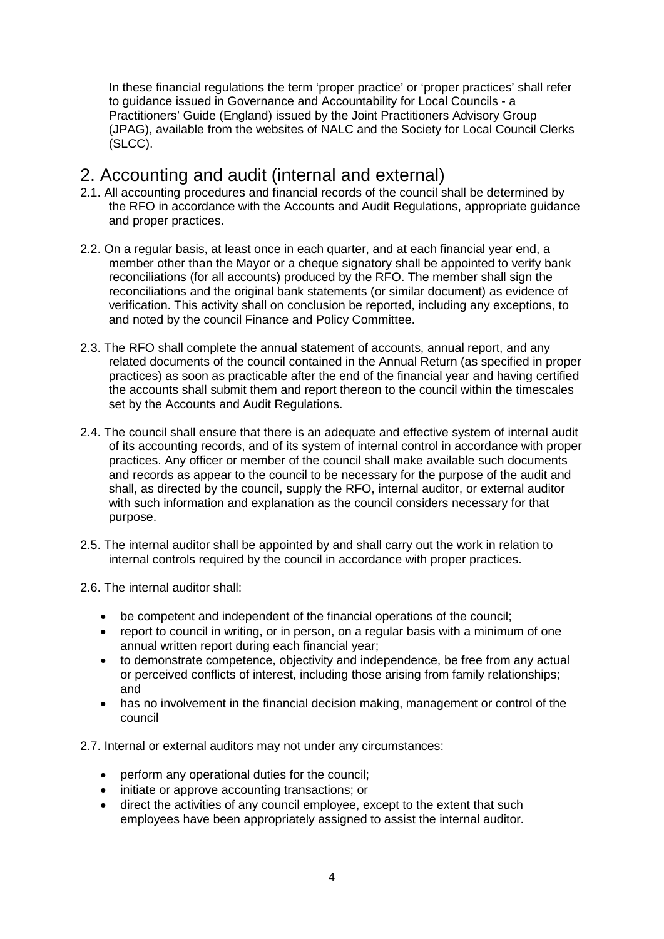In these financial regulations the term 'proper practice' or 'proper practices' shall refer to guidance issued in Governance and Accountability for Local Councils - a Practitioners' Guide (England) issued by the Joint Practitioners Advisory Group (JPAG), available from the websites of NALC and the Society for Local Council Clerks (SLCC).

# <span id="page-3-0"></span>2. Accounting and audit (internal and external)

- 2.1. All accounting procedures and financial records of the council shall be determined by the RFO in accordance with the Accounts and Audit Regulations, appropriate guidance and proper practices.
- 2.2. On a regular basis, at least once in each quarter, and at each financial year end, a member other than the Mayor or a cheque signatory shall be appointed to verify bank reconciliations (for all accounts) produced by the RFO. The member shall sign the reconciliations and the original bank statements (or similar document) as evidence of verification. This activity shall on conclusion be reported, including any exceptions, to and noted by the council Finance and Policy Committee.
- 2.3. The RFO shall complete the annual statement of accounts, annual report, and any related documents of the council contained in the Annual Return (as specified in proper practices) as soon as practicable after the end of the financial year and having certified the accounts shall submit them and report thereon to the council within the timescales set by the Accounts and Audit Regulations.
- 2.4. The council shall ensure that there is an adequate and effective system of internal audit of its accounting records, and of its system of internal control in accordance with proper practices. Any officer or member of the council shall make available such documents and records as appear to the council to be necessary for the purpose of the audit and shall, as directed by the council, supply the RFO, internal auditor, or external auditor with such information and explanation as the council considers necessary for that purpose.
- 2.5. The internal auditor shall be appointed by and shall carry out the work in relation to internal controls required by the council in accordance with proper practices.
- 2.6. The internal auditor shall:
	- be competent and independent of the financial operations of the council;
	- report to council in writing, or in person, on a regular basis with a minimum of one annual written report during each financial year;
	- to demonstrate competence, objectivity and independence, be free from any actual or perceived conflicts of interest, including those arising from family relationships; and
	- has no involvement in the financial decision making, management or control of the council

2.7. Internal or external auditors may not under any circumstances:

- perform any operational duties for the council;
- initiate or approve accounting transactions; or
- direct the activities of any council employee, except to the extent that such employees have been appropriately assigned to assist the internal auditor.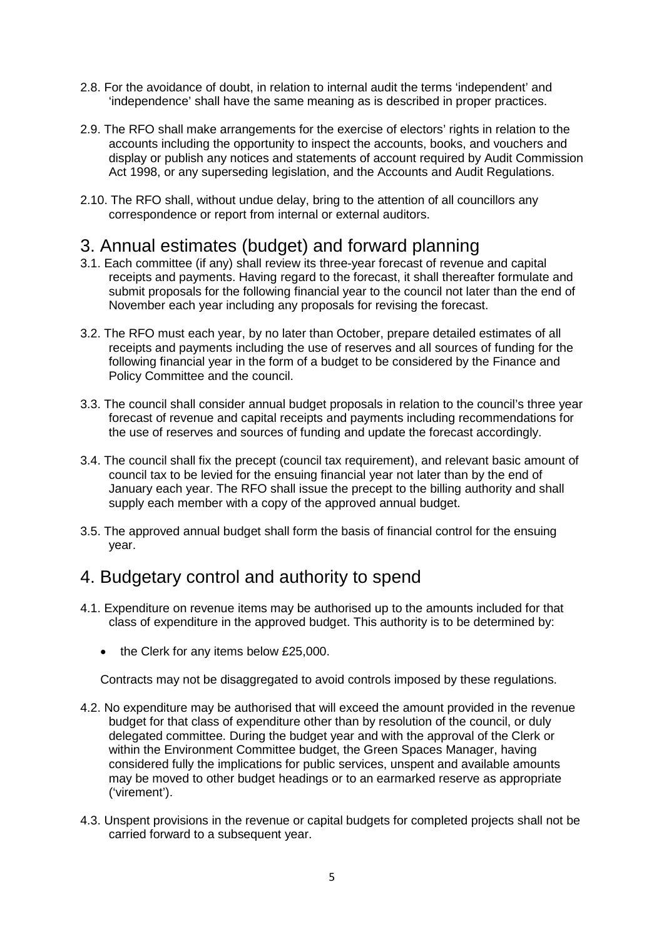- 2.8. For the avoidance of doubt, in relation to internal audit the terms 'independent' and 'independence' shall have the same meaning as is described in proper practices.
- 2.9. The RFO shall make arrangements for the exercise of electors' rights in relation to the accounts including the opportunity to inspect the accounts, books, and vouchers and display or publish any notices and statements of account required by Audit Commission Act 1998, or any superseding legislation, and the Accounts and Audit Regulations.
- 2.10. The RFO shall, without undue delay, bring to the attention of all councillors any correspondence or report from internal or external auditors.

# <span id="page-4-0"></span>3. Annual estimates (budget) and forward planning

- 3.1. Each committee (if any) shall review its three-year forecast of revenue and capital receipts and payments. Having regard to the forecast, it shall thereafter formulate and submit proposals for the following financial year to the council not later than the end of November each year including any proposals for revising the forecast.
- 3.2. The RFO must each year, by no later than October, prepare detailed estimates of all receipts and payments including the use of reserves and all sources of funding for the following financial year in the form of a budget to be considered by the Finance and Policy Committee and the council.
- 3.3. The council shall consider annual budget proposals in relation to the council's three year forecast of revenue and capital receipts and payments including recommendations for the use of reserves and sources of funding and update the forecast accordingly.
- 3.4. The council shall fix the precept (council tax requirement), and relevant basic amount of council tax to be levied for the ensuing financial year not later than by the end of January each year. The RFO shall issue the precept to the billing authority and shall supply each member with a copy of the approved annual budget.
- 3.5. The approved annual budget shall form the basis of financial control for the ensuing year.

## <span id="page-4-1"></span>4. Budgetary control and authority to spend

- 4.1. Expenditure on revenue items may be authorised up to the amounts included for that class of expenditure in the approved budget. This authority is to be determined by:
	- the Clerk for any items below £25,000.

Contracts may not be disaggregated to avoid controls imposed by these regulations.

- 4.2. No expenditure may be authorised that will exceed the amount provided in the revenue budget for that class of expenditure other than by resolution of the council, or duly delegated committee. During the budget year and with the approval of the Clerk or within the Environment Committee budget, the Green Spaces Manager, having considered fully the implications for public services, unspent and available amounts may be moved to other budget headings or to an earmarked reserve as appropriate ('virement').
- 4.3. Unspent provisions in the revenue or capital budgets for completed projects shall not be carried forward to a subsequent year.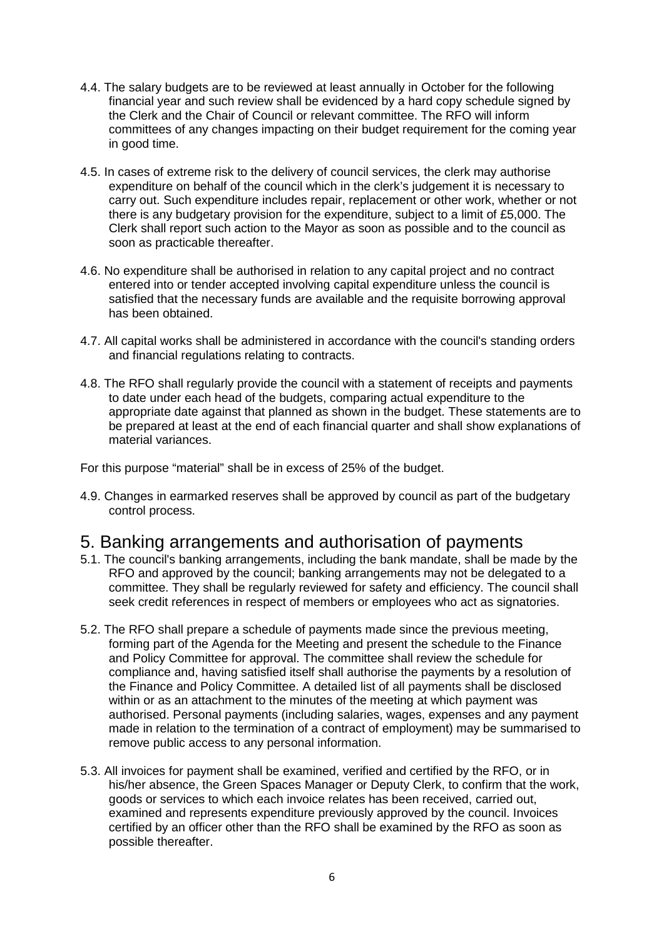- 4.4. The salary budgets are to be reviewed at least annually in October for the following financial year and such review shall be evidenced by a hard copy schedule signed by the Clerk and the Chair of Council or relevant committee. The RFO will inform committees of any changes impacting on their budget requirement for the coming year in good time.
- 4.5. In cases of extreme risk to the delivery of council services, the clerk may authorise expenditure on behalf of the council which in the clerk's judgement it is necessary to carry out. Such expenditure includes repair, replacement or other work, whether or not there is any budgetary provision for the expenditure, subject to a limit of £5,000. The Clerk shall report such action to the Mayor as soon as possible and to the council as soon as practicable thereafter.
- 4.6. No expenditure shall be authorised in relation to any capital project and no contract entered into or tender accepted involving capital expenditure unless the council is satisfied that the necessary funds are available and the requisite borrowing approval has been obtained.
- 4.7. All capital works shall be administered in accordance with the council's standing orders and financial regulations relating to contracts.
- 4.8. The RFO shall regularly provide the council with a statement of receipts and payments to date under each head of the budgets, comparing actual expenditure to the appropriate date against that planned as shown in the budget. These statements are to be prepared at least at the end of each financial quarter and shall show explanations of material variances.

For this purpose "material" shall be in excess of 25% of the budget.

4.9. Changes in earmarked reserves shall be approved by council as part of the budgetary control process.

## <span id="page-5-0"></span>5. Banking arrangements and authorisation of payments

- 5.1. The council's banking arrangements, including the bank mandate, shall be made by the RFO and approved by the council; banking arrangements may not be delegated to a committee. They shall be regularly reviewed for safety and efficiency. The council shall seek credit references in respect of members or employees who act as signatories.
- 5.2. The RFO shall prepare a schedule of payments made since the previous meeting, forming part of the Agenda for the Meeting and present the schedule to the Finance and Policy Committee for approval. The committee shall review the schedule for compliance and, having satisfied itself shall authorise the payments by a resolution of the Finance and Policy Committee. A detailed list of all payments shall be disclosed within or as an attachment to the minutes of the meeting at which payment was authorised. Personal payments (including salaries, wages, expenses and any payment made in relation to the termination of a contract of employment) may be summarised to remove public access to any personal information.
- 5.3. All invoices for payment shall be examined, verified and certified by the RFO, or in his/her absence, the Green Spaces Manager or Deputy Clerk, to confirm that the work, goods or services to which each invoice relates has been received, carried out, examined and represents expenditure previously approved by the council. Invoices certified by an officer other than the RFO shall be examined by the RFO as soon as possible thereafter.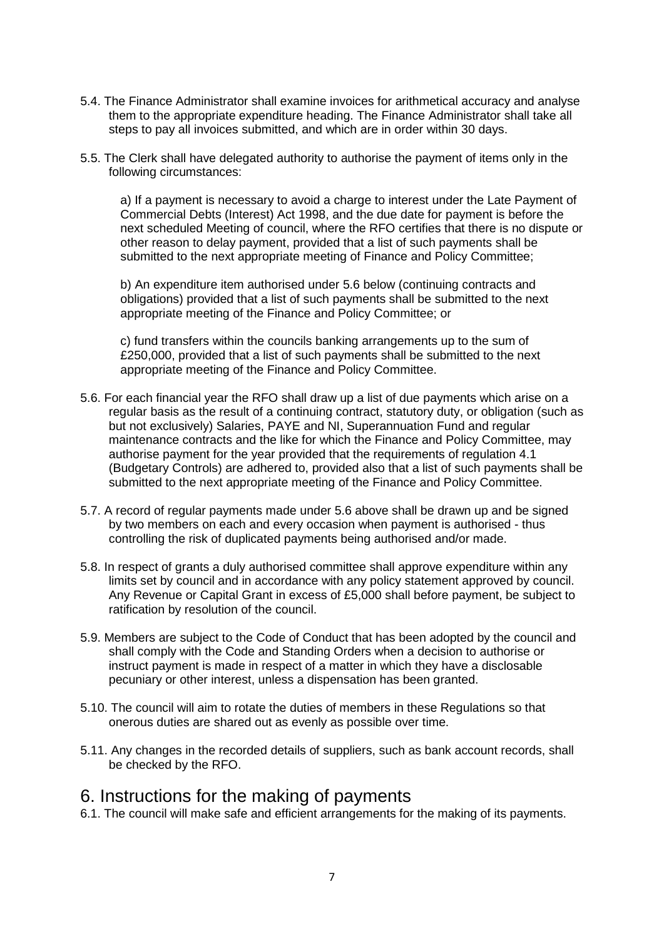- 5.4. The Finance Administrator shall examine invoices for arithmetical accuracy and analyse them to the appropriate expenditure heading. The Finance Administrator shall take all steps to pay all invoices submitted, and which are in order within 30 days.
- 5.5. The Clerk shall have delegated authority to authorise the payment of items only in the following circumstances:

a) If a payment is necessary to avoid a charge to interest under the Late Payment of Commercial Debts (Interest) Act 1998, and the due date for payment is before the next scheduled Meeting of council, where the RFO certifies that there is no dispute or other reason to delay payment, provided that a list of such payments shall be submitted to the next appropriate meeting of Finance and Policy Committee;

b) An expenditure item authorised under 5.6 below (continuing contracts and obligations) provided that a list of such payments shall be submitted to the next appropriate meeting of the Finance and Policy Committee; or

c) fund transfers within the councils banking arrangements up to the sum of £250,000, provided that a list of such payments shall be submitted to the next appropriate meeting of the Finance and Policy Committee.

- 5.6. For each financial year the RFO shall draw up a list of due payments which arise on a regular basis as the result of a continuing contract, statutory duty, or obligation (such as but not exclusively) Salaries, PAYE and NI, Superannuation Fund and regular maintenance contracts and the like for which the Finance and Policy Committee, may authorise payment for the year provided that the requirements of regulation 4.1 (Budgetary Controls) are adhered to, provided also that a list of such payments shall be submitted to the next appropriate meeting of the Finance and Policy Committee.
- 5.7. A record of regular payments made under 5.6 above shall be drawn up and be signed by two members on each and every occasion when payment is authorised - thus controlling the risk of duplicated payments being authorised and/or made.
- 5.8. In respect of grants a duly authorised committee shall approve expenditure within any limits set by council and in accordance with any policy statement approved by council. Any Revenue or Capital Grant in excess of £5,000 shall before payment, be subject to ratification by resolution of the council.
- 5.9. Members are subject to the Code of Conduct that has been adopted by the council and shall comply with the Code and Standing Orders when a decision to authorise or instruct payment is made in respect of a matter in which they have a disclosable pecuniary or other interest, unless a dispensation has been granted.
- 5.10. The council will aim to rotate the duties of members in these Regulations so that onerous duties are shared out as evenly as possible over time.
- 5.11. Any changes in the recorded details of suppliers, such as bank account records, shall be checked by the RFO.

## <span id="page-6-0"></span>6. Instructions for the making of payments

6.1. The council will make safe and efficient arrangements for the making of its payments.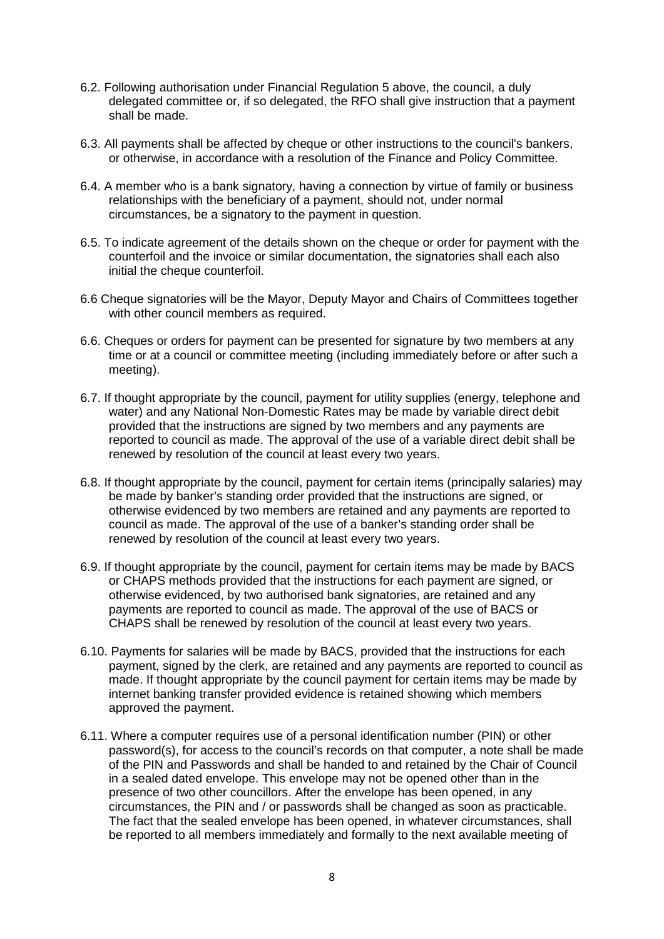- 6.2. Following authorisation under Financial Regulation 5 above, the council, a duly delegated committee or, if so delegated, the RFO shall give instruction that a payment shall be made.
- 6.3. All payments shall be affected by cheque or other instructions to the council's bankers, or otherwise, in accordance with a resolution of the Finance and Policy Committee.
- 6.4. A member who is a bank signatory, having a connection by virtue of family or business relationships with the beneficiary of a payment, should not, under normal circumstances, be a signatory to the payment in question.
- 6.5. To indicate agreement of the details shown on the cheque or order for payment with the counterfoil and the invoice or similar documentation, the signatories shall each also initial the cheque counterfoil.
- 6.6 Cheque signatories will be the Mayor, Deputy Mayor and Chairs of Committees together with other council members as required.
- 6.6. Cheques or orders for payment can be presented for signature by two members at any time or at a council or committee meeting (including immediately before or after such a meeting).
- 6.7. If thought appropriate by the council, payment for utility supplies (energy, telephone and water) and any National Non-Domestic Rates may be made by variable direct debit provided that the instructions are signed by two members and any payments are reported to council as made. The approval of the use of a variable direct debit shall be renewed by resolution of the council at least every two years.
- 6.8. If thought appropriate by the council, payment for certain items (principally salaries) may be made by banker's standing order provided that the instructions are signed, or otherwise evidenced by two members are retained and any payments are reported to council as made. The approval of the use of a banker's standing order shall be renewed by resolution of the council at least every two years.
- 6.9. If thought appropriate by the council, payment for certain items may be made by BACS or CHAPS methods provided that the instructions for each payment are signed, or otherwise evidenced, by two authorised bank signatories, are retained and any payments are reported to council as made. The approval of the use of BACS or CHAPS shall be renewed by resolution of the council at least every two years.
- 6.10. Payments for salaries will be made by BACS, provided that the instructions for each payment, signed by the clerk, are retained and any payments are reported to council as made. If thought appropriate by the council payment for certain items may be made by internet banking transfer provided evidence is retained showing which members approved the payment.
- 6.11. Where a computer requires use of a personal identification number (PIN) or other password(s), for access to the council's records on that computer, a note shall be made of the PIN and Passwords and shall be handed to and retained by the Chair of Council in a sealed dated envelope. This envelope may not be opened other than in the presence of two other councillors. After the envelope has been opened, in any circumstances, the PIN and / or passwords shall be changed as soon as practicable. The fact that the sealed envelope has been opened, in whatever circumstances, shall be reported to all members immediately and formally to the next available meeting of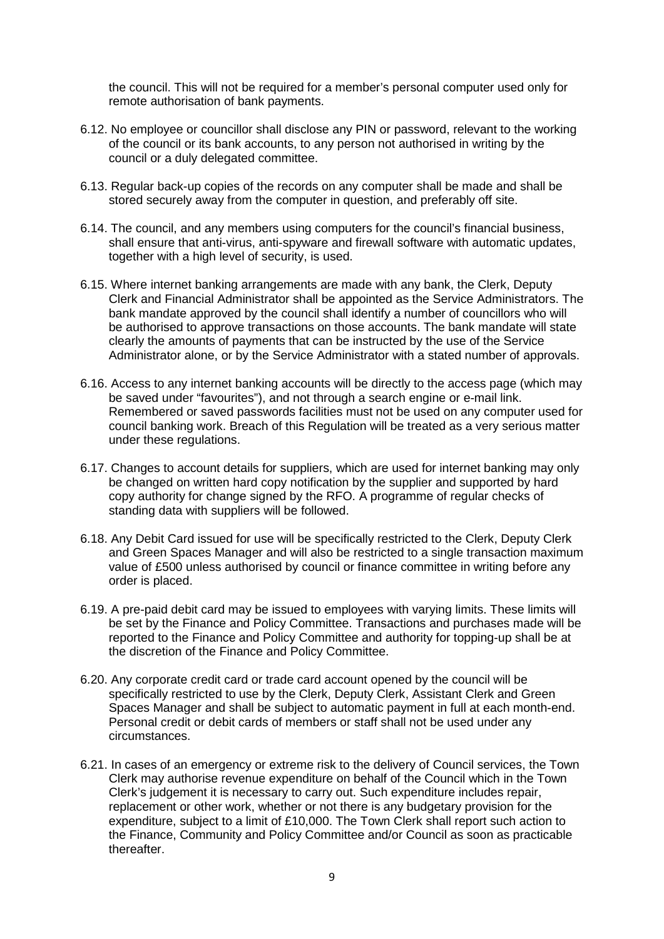the council. This will not be required for a member's personal computer used only for remote authorisation of bank payments.

- 6.12. No employee or councillor shall disclose any PIN or password, relevant to the working of the council or its bank accounts, to any person not authorised in writing by the council or a duly delegated committee.
- 6.13. Regular back-up copies of the records on any computer shall be made and shall be stored securely away from the computer in question, and preferably off site.
- 6.14. The council, and any members using computers for the council's financial business, shall ensure that anti-virus, anti-spyware and firewall software with automatic updates, together with a high level of security, is used.
- 6.15. Where internet banking arrangements are made with any bank, the Clerk, Deputy Clerk and Financial Administrator shall be appointed as the Service Administrators. The bank mandate approved by the council shall identify a number of councillors who will be authorised to approve transactions on those accounts. The bank mandate will state clearly the amounts of payments that can be instructed by the use of the Service Administrator alone, or by the Service Administrator with a stated number of approvals.
- 6.16. Access to any internet banking accounts will be directly to the access page (which may be saved under "favourites"), and not through a search engine or e-mail link. Remembered or saved passwords facilities must not be used on any computer used for council banking work. Breach of this Regulation will be treated as a very serious matter under these regulations.
- 6.17. Changes to account details for suppliers, which are used for internet banking may only be changed on written hard copy notification by the supplier and supported by hard copy authority for change signed by the RFO. A programme of regular checks of standing data with suppliers will be followed.
- 6.18. Any Debit Card issued for use will be specifically restricted to the Clerk, Deputy Clerk and Green Spaces Manager and will also be restricted to a single transaction maximum value of £500 unless authorised by council or finance committee in writing before any order is placed.
- 6.19. A pre-paid debit card may be issued to employees with varying limits. These limits will be set by the Finance and Policy Committee. Transactions and purchases made will be reported to the Finance and Policy Committee and authority for topping-up shall be at the discretion of the Finance and Policy Committee.
- 6.20. Any corporate credit card or trade card account opened by the council will be specifically restricted to use by the Clerk, Deputy Clerk, Assistant Clerk and Green Spaces Manager and shall be subject to automatic payment in full at each month-end. Personal credit or debit cards of members or staff shall not be used under any circumstances.
- 6.21. In cases of an emergency or extreme risk to the delivery of Council services, the Town Clerk may authorise revenue expenditure on behalf of the Council which in the Town Clerk's judgement it is necessary to carry out. Such expenditure includes repair, replacement or other work, whether or not there is any budgetary provision for the expenditure, subject to a limit of £10,000. The Town Clerk shall report such action to the Finance, Community and Policy Committee and/or Council as soon as practicable thereafter.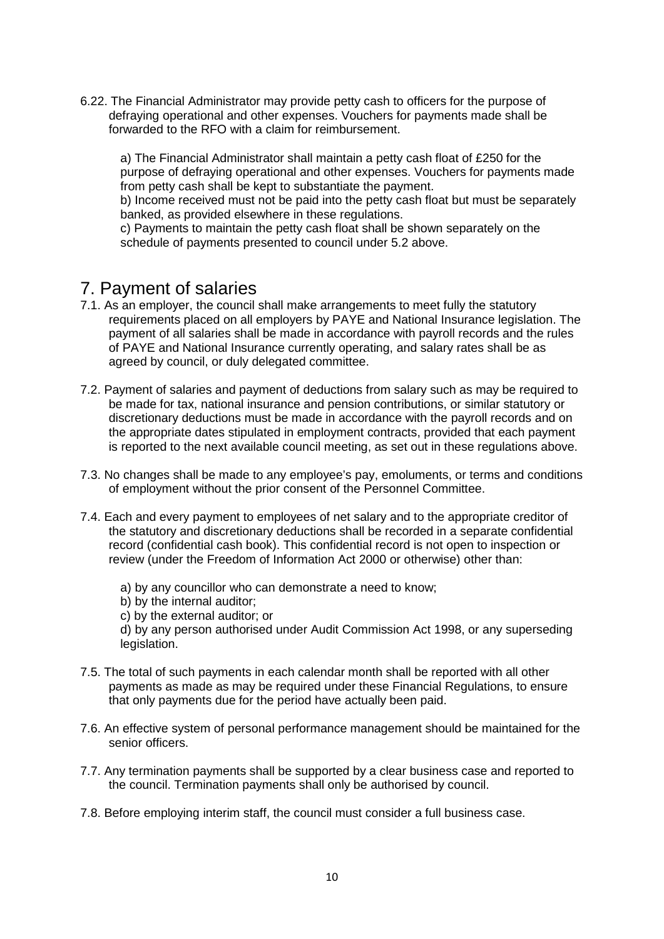6.22. The Financial Administrator may provide petty cash to officers for the purpose of defraying operational and other expenses. Vouchers for payments made shall be forwarded to the RFO with a claim for reimbursement.

a) The Financial Administrator shall maintain a petty cash float of £250 for the purpose of defraying operational and other expenses. Vouchers for payments made from petty cash shall be kept to substantiate the payment.

b) Income received must not be paid into the petty cash float but must be separately banked, as provided elsewhere in these regulations.

c) Payments to maintain the petty cash float shall be shown separately on the schedule of payments presented to council under 5.2 above.

# <span id="page-9-0"></span>7. Payment of salaries

- 7.1. As an employer, the council shall make arrangements to meet fully the statutory requirements placed on all employers by PAYE and National Insurance legislation. The payment of all salaries shall be made in accordance with payroll records and the rules of PAYE and National Insurance currently operating, and salary rates shall be as agreed by council, or duly delegated committee.
- 7.2. Payment of salaries and payment of deductions from salary such as may be required to be made for tax, national insurance and pension contributions, or similar statutory or discretionary deductions must be made in accordance with the payroll records and on the appropriate dates stipulated in employment contracts, provided that each payment is reported to the next available council meeting, as set out in these regulations above.
- 7.3. No changes shall be made to any employee's pay, emoluments, or terms and conditions of employment without the prior consent of the Personnel Committee.
- 7.4. Each and every payment to employees of net salary and to the appropriate creditor of the statutory and discretionary deductions shall be recorded in a separate confidential record (confidential cash book). This confidential record is not open to inspection or review (under the Freedom of Information Act 2000 or otherwise) other than:
	- a) by any councillor who can demonstrate a need to know;
	- b) by the internal auditor;
	- c) by the external auditor; or

d) by any person authorised under Audit Commission Act 1998, or any superseding legislation.

- 7.5. The total of such payments in each calendar month shall be reported with all other payments as made as may be required under these Financial Regulations, to ensure that only payments due for the period have actually been paid.
- 7.6. An effective system of personal performance management should be maintained for the senior officers.
- 7.7. Any termination payments shall be supported by a clear business case and reported to the council. Termination payments shall only be authorised by council.
- 7.8. Before employing interim staff, the council must consider a full business case.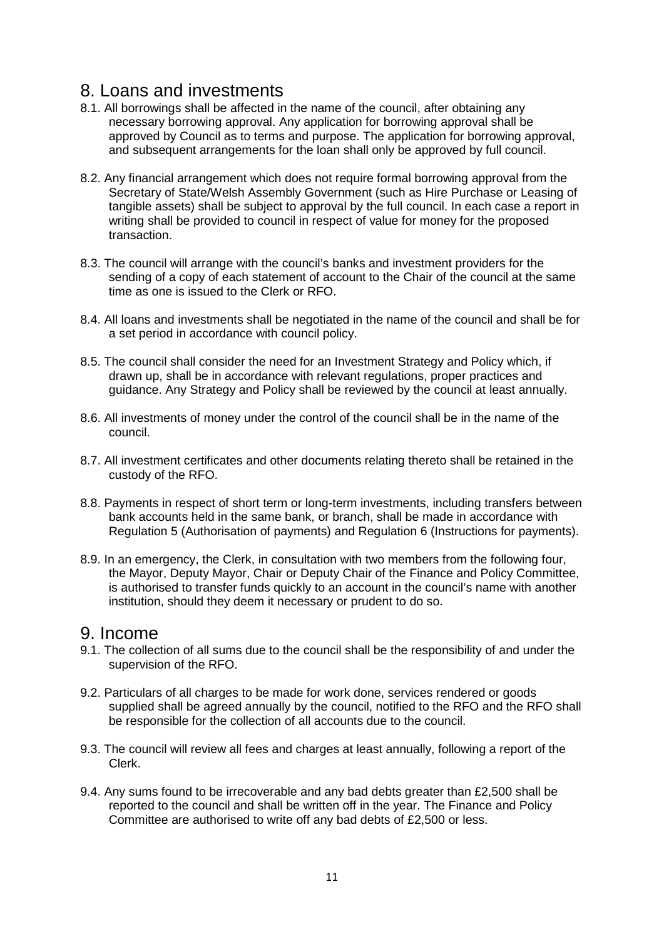## <span id="page-10-0"></span>8. Loans and investments

- 8.1. All borrowings shall be affected in the name of the council, after obtaining any necessary borrowing approval. Any application for borrowing approval shall be approved by Council as to terms and purpose. The application for borrowing approval, and subsequent arrangements for the loan shall only be approved by full council.
- 8.2. Any financial arrangement which does not require formal borrowing approval from the Secretary of State/Welsh Assembly Government (such as Hire Purchase or Leasing of tangible assets) shall be subject to approval by the full council. In each case a report in writing shall be provided to council in respect of value for money for the proposed transaction.
- 8.3. The council will arrange with the council's banks and investment providers for the sending of a copy of each statement of account to the Chair of the council at the same time as one is issued to the Clerk or RFO.
- 8.4. All loans and investments shall be negotiated in the name of the council and shall be for a set period in accordance with council policy.
- 8.5. The council shall consider the need for an Investment Strategy and Policy which, if drawn up, shall be in accordance with relevant regulations, proper practices and guidance. Any Strategy and Policy shall be reviewed by the council at least annually.
- 8.6. All investments of money under the control of the council shall be in the name of the council.
- 8.7. All investment certificates and other documents relating thereto shall be retained in the custody of the RFO.
- 8.8. Payments in respect of short term or long-term investments, including transfers between bank accounts held in the same bank, or branch, shall be made in accordance with Regulation 5 (Authorisation of payments) and Regulation 6 (Instructions for payments).
- 8.9. In an emergency, the Clerk, in consultation with two members from the following four, the Mayor, Deputy Mayor, Chair or Deputy Chair of the Finance and Policy Committee, is authorised to transfer funds quickly to an account in the council's name with another institution, should they deem it necessary or prudent to do so.

#### <span id="page-10-1"></span>9. Income

- 9.1. The collection of all sums due to the council shall be the responsibility of and under the supervision of the RFO.
- 9.2. Particulars of all charges to be made for work done, services rendered or goods supplied shall be agreed annually by the council, notified to the RFO and the RFO shall be responsible for the collection of all accounts due to the council.
- 9.3. The council will review all fees and charges at least annually, following a report of the Clerk.
- 9.4. Any sums found to be irrecoverable and any bad debts greater than £2,500 shall be reported to the council and shall be written off in the year. The Finance and Policy Committee are authorised to write off any bad debts of £2,500 or less.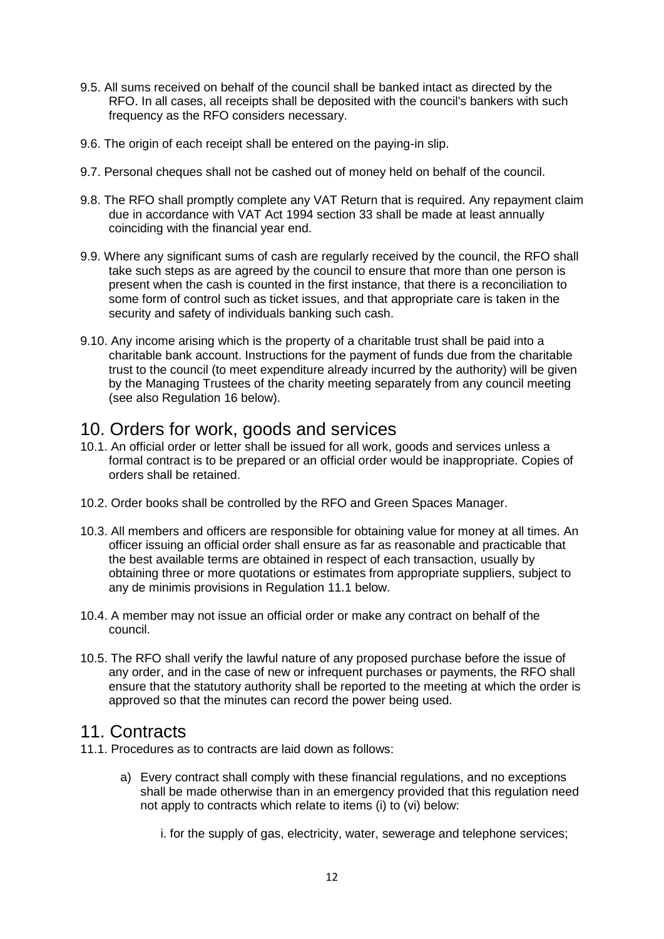- 9.5. All sums received on behalf of the council shall be banked intact as directed by the RFO. In all cases, all receipts shall be deposited with the council's bankers with such frequency as the RFO considers necessary.
- 9.6. The origin of each receipt shall be entered on the paying-in slip.
- 9.7. Personal cheques shall not be cashed out of money held on behalf of the council.
- 9.8. The RFO shall promptly complete any VAT Return that is required. Any repayment claim due in accordance with VAT Act 1994 section 33 shall be made at least annually coinciding with the financial year end.
- 9.9. Where any significant sums of cash are regularly received by the council, the RFO shall take such steps as are agreed by the council to ensure that more than one person is present when the cash is counted in the first instance, that there is a reconciliation to some form of control such as ticket issues, and that appropriate care is taken in the security and safety of individuals banking such cash.
- 9.10. Any income arising which is the property of a charitable trust shall be paid into a charitable bank account. Instructions for the payment of funds due from the charitable trust to the council (to meet expenditure already incurred by the authority) will be given by the Managing Trustees of the charity meeting separately from any council meeting (see also Regulation 16 below).

#### <span id="page-11-0"></span>10. Orders for work, goods and services

- 10.1. An official order or letter shall be issued for all work, goods and services unless a formal contract is to be prepared or an official order would be inappropriate. Copies of orders shall be retained.
- 10.2. Order books shall be controlled by the RFO and Green Spaces Manager.
- 10.3. All members and officers are responsible for obtaining value for money at all times. An officer issuing an official order shall ensure as far as reasonable and practicable that the best available terms are obtained in respect of each transaction, usually by obtaining three or more quotations or estimates from appropriate suppliers, subject to any de minimis provisions in Regulation 11.1 below.
- 10.4. A member may not issue an official order or make any contract on behalf of the council.
- 10.5. The RFO shall verify the lawful nature of any proposed purchase before the issue of any order, and in the case of new or infrequent purchases or payments, the RFO shall ensure that the statutory authority shall be reported to the meeting at which the order is approved so that the minutes can record the power being used.

#### <span id="page-11-1"></span>11. Contracts

- 11.1. Procedures as to contracts are laid down as follows:
	- a) Every contract shall comply with these financial regulations, and no exceptions shall be made otherwise than in an emergency provided that this regulation need not apply to contracts which relate to items (i) to (vi) below:

i. for the supply of gas, electricity, water, sewerage and telephone services;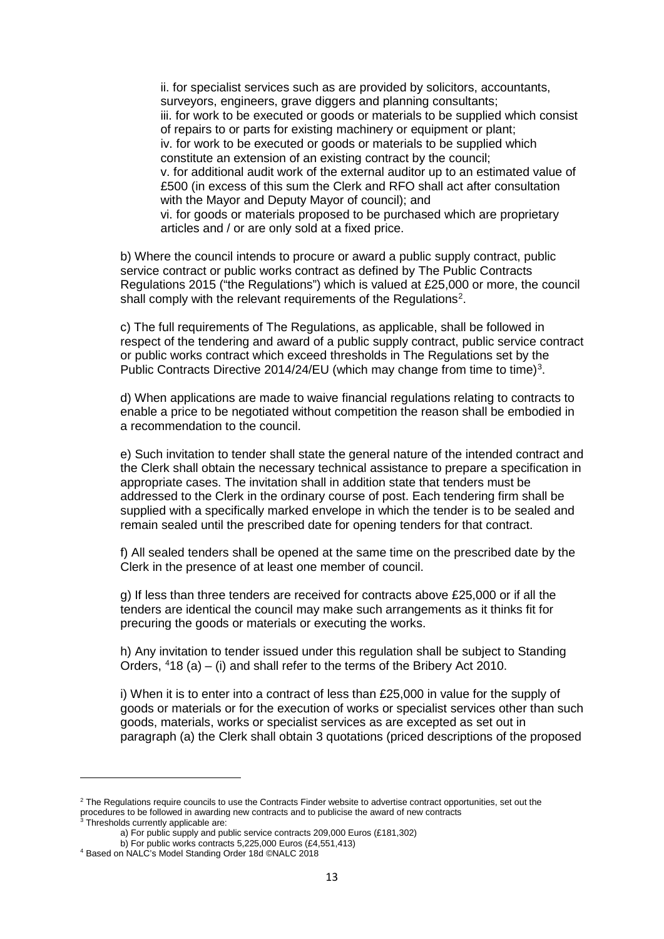ii. for specialist services such as are provided by solicitors, accountants, surveyors, engineers, grave diggers and planning consultants; iii. for work to be executed or goods or materials to be supplied which consist of repairs to or parts for existing machinery or equipment or plant; iv. for work to be executed or goods or materials to be supplied which constitute an extension of an existing contract by the council; v. for additional audit work of the external auditor up to an estimated value of £500 (in excess of this sum the Clerk and RFO shall act after consultation with the Mayor and Deputy Mayor of council); and vi. for goods or materials proposed to be purchased which are proprietary articles and / or are only sold at a fixed price.

b) Where the council intends to procure or award a public supply contract, public service contract or public works contract as defined by The Public Contracts Regulations 2015 ("the Regulations") which is valued at £25,000 or more, the council shall comply with the relevant requirements of the Regulations<sup>[2](#page-12-0)</sup>.

c) The full requirements of The Regulations, as applicable, shall be followed in respect of the tendering and award of a public supply contract, public service contract or public works contract which exceed thresholds in The Regulations set by the Public Contracts Directive 2014/24/EU (which may change from time to time)<sup>[3](#page-12-1)</sup>.

d) When applications are made to waive financial regulations relating to contracts to enable a price to be negotiated without competition the reason shall be embodied in a recommendation to the council.

e) Such invitation to tender shall state the general nature of the intended contract and the Clerk shall obtain the necessary technical assistance to prepare a specification in appropriate cases. The invitation shall in addition state that tenders must be addressed to the Clerk in the ordinary course of post. Each tendering firm shall be supplied with a specifically marked envelope in which the tender is to be sealed and remain sealed until the prescribed date for opening tenders for that contract.

f) All sealed tenders shall be opened at the same time on the prescribed date by the Clerk in the presence of at least one member of council.

g) If less than three tenders are received for contracts above £25,000 or if all the tenders are identical the council may make such arrangements as it thinks fit for precuring the goods or materials or executing the works.

h) Any invitation to tender issued under this regulation shall be subject to Standing Orders,  $418$  $418$  (a) – (i) and shall refer to the terms of the Bribery Act 2010.

i) When it is to enter into a contract of less than £25,000 in value for the supply of goods or materials or for the execution of works or specialist services other than such goods, materials, works or specialist services as are excepted as set out in paragraph (a) the Clerk shall obtain 3 quotations (priced descriptions of the proposed

**.** 

<span id="page-12-1"></span><span id="page-12-0"></span><sup>&</sup>lt;sup>2</sup> The Regulations require councils to use the Contracts Finder website to advertise contract opportunities, set out the procedures to be followed in awarding new contracts and to publicise the award of new contracts <sup>3</sup> Thresholds currently applicable are:

a) For public supply and public service contracts 209,000 Euros (£181,302)

b) For public works contracts 5,225,000 Euros (£4,551,413)

<span id="page-12-2"></span><sup>4</sup> Based on NALC's Model Standing Order 18d ©NALC 2018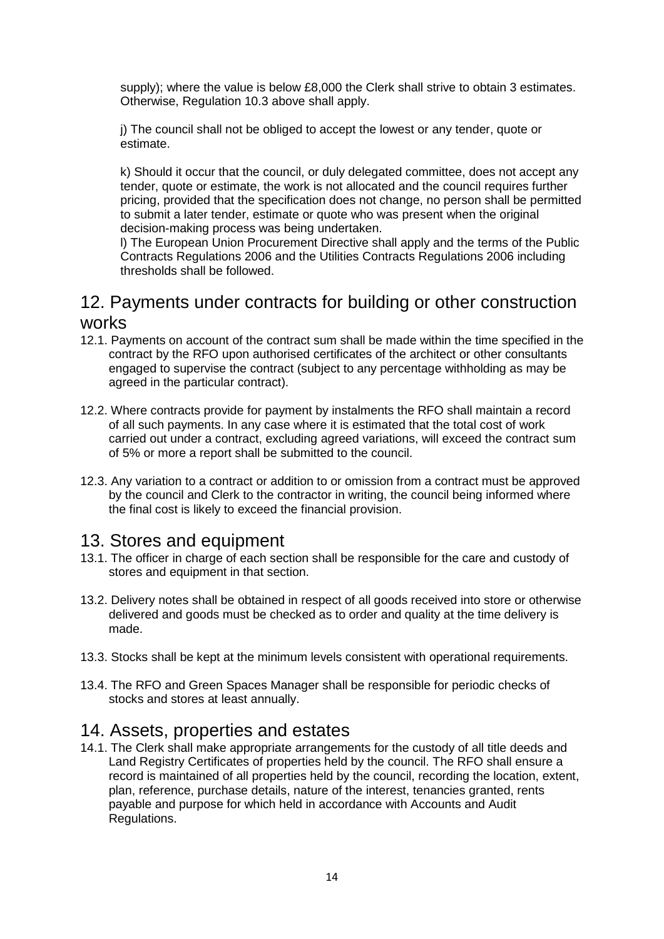supply); where the value is below £8,000 the Clerk shall strive to obtain 3 estimates. Otherwise, Regulation 10.3 above shall apply.

j) The council shall not be obliged to accept the lowest or any tender, quote or estimate.

k) Should it occur that the council, or duly delegated committee, does not accept any tender, quote or estimate, the work is not allocated and the council requires further pricing, provided that the specification does not change, no person shall be permitted to submit a later tender, estimate or quote who was present when the original decision-making process was being undertaken.

l) The European Union Procurement Directive shall apply and the terms of the Public Contracts Regulations 2006 and the Utilities Contracts Regulations 2006 including thresholds shall be followed.

## <span id="page-13-0"></span>12. Payments under contracts for building or other construction works

- 12.1. Payments on account of the contract sum shall be made within the time specified in the contract by the RFO upon authorised certificates of the architect or other consultants engaged to supervise the contract (subject to any percentage withholding as may be agreed in the particular contract).
- 12.2. Where contracts provide for payment by instalments the RFO shall maintain a record of all such payments. In any case where it is estimated that the total cost of work carried out under a contract, excluding agreed variations, will exceed the contract sum of 5% or more a report shall be submitted to the council.
- 12.3. Any variation to a contract or addition to or omission from a contract must be approved by the council and Clerk to the contractor in writing, the council being informed where the final cost is likely to exceed the financial provision.

## <span id="page-13-1"></span>13. Stores and equipment

- 13.1. The officer in charge of each section shall be responsible for the care and custody of stores and equipment in that section.
- 13.2. Delivery notes shall be obtained in respect of all goods received into store or otherwise delivered and goods must be checked as to order and quality at the time delivery is made.
- 13.3. Stocks shall be kept at the minimum levels consistent with operational requirements.
- 13.4. The RFO and Green Spaces Manager shall be responsible for periodic checks of stocks and stores at least annually.

# <span id="page-13-2"></span>14. Assets, properties and estates

14.1. The Clerk shall make appropriate arrangements for the custody of all title deeds and Land Registry Certificates of properties held by the council. The RFO shall ensure a record is maintained of all properties held by the council, recording the location, extent, plan, reference, purchase details, nature of the interest, tenancies granted, rents payable and purpose for which held in accordance with Accounts and Audit Regulations.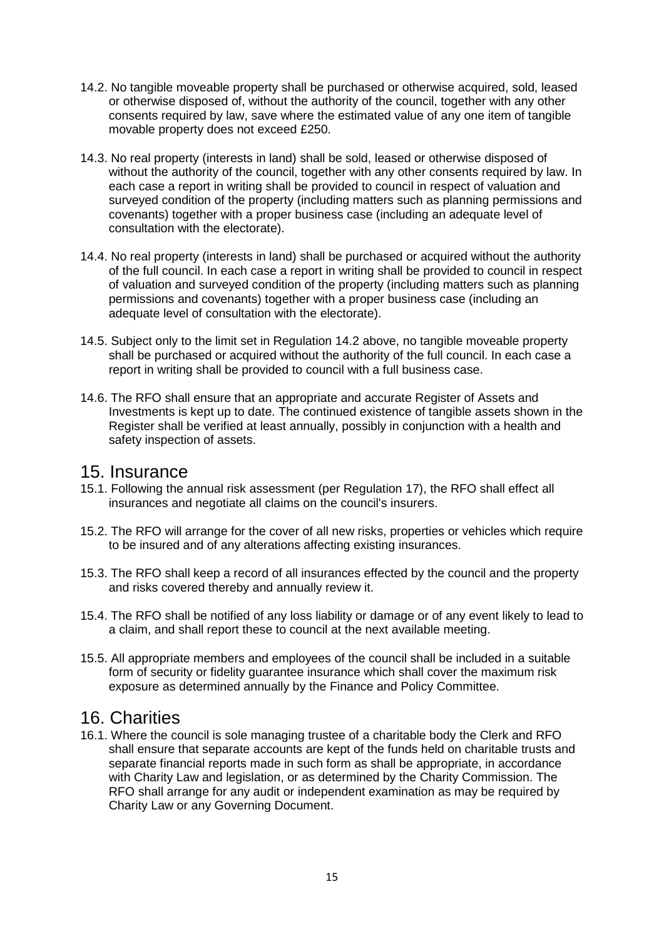- 14.2. No tangible moveable property shall be purchased or otherwise acquired, sold, leased or otherwise disposed of, without the authority of the council, together with any other consents required by law, save where the estimated value of any one item of tangible movable property does not exceed £250.
- 14.3. No real property (interests in land) shall be sold, leased or otherwise disposed of without the authority of the council, together with any other consents required by law. In each case a report in writing shall be provided to council in respect of valuation and surveyed condition of the property (including matters such as planning permissions and covenants) together with a proper business case (including an adequate level of consultation with the electorate).
- 14.4. No real property (interests in land) shall be purchased or acquired without the authority of the full council. In each case a report in writing shall be provided to council in respect of valuation and surveyed condition of the property (including matters such as planning permissions and covenants) together with a proper business case (including an adequate level of consultation with the electorate).
- 14.5. Subject only to the limit set in Regulation 14.2 above, no tangible moveable property shall be purchased or acquired without the authority of the full council. In each case a report in writing shall be provided to council with a full business case.
- 14.6. The RFO shall ensure that an appropriate and accurate Register of Assets and Investments is kept up to date. The continued existence of tangible assets shown in the Register shall be verified at least annually, possibly in conjunction with a health and safety inspection of assets.

#### <span id="page-14-0"></span>15. Insurance

- 15.1. Following the annual risk assessment (per Regulation 17), the RFO shall effect all insurances and negotiate all claims on the council's insurers.
- 15.2. The RFO will arrange for the cover of all new risks, properties or vehicles which require to be insured and of any alterations affecting existing insurances.
- 15.3. The RFO shall keep a record of all insurances effected by the council and the property and risks covered thereby and annually review it.
- 15.4. The RFO shall be notified of any loss liability or damage or of any event likely to lead to a claim, and shall report these to council at the next available meeting.
- 15.5. All appropriate members and employees of the council shall be included in a suitable form of security or fidelity guarantee insurance which shall cover the maximum risk exposure as determined annually by the Finance and Policy Committee.

## <span id="page-14-1"></span>16. Charities

16.1. Where the council is sole managing trustee of a charitable body the Clerk and RFO shall ensure that separate accounts are kept of the funds held on charitable trusts and separate financial reports made in such form as shall be appropriate, in accordance with Charity Law and legislation, or as determined by the Charity Commission. The RFO shall arrange for any audit or independent examination as may be required by Charity Law or any Governing Document.